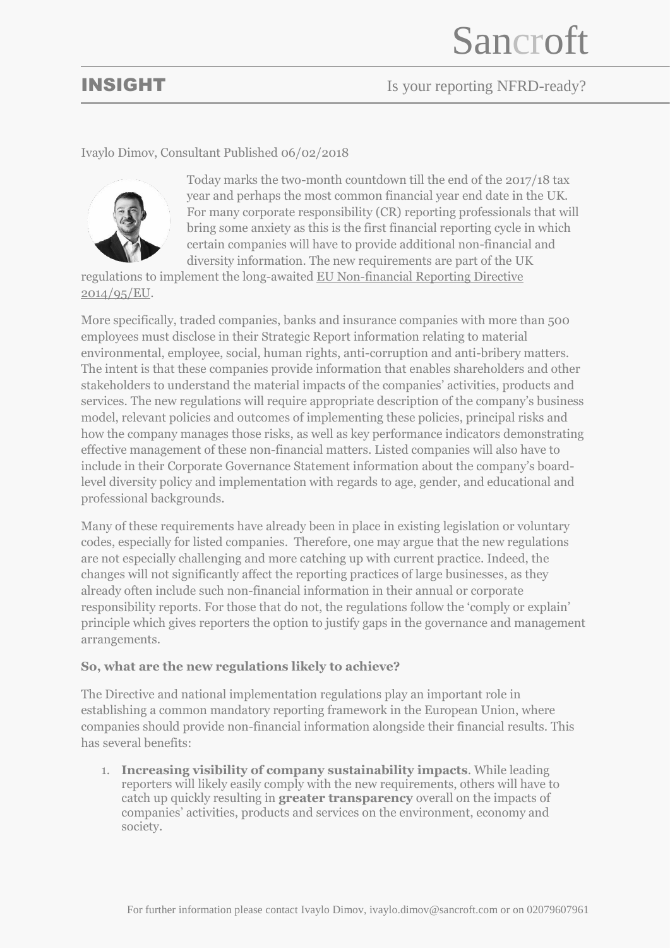# **INSIGHT** Is your reporting NFRD-ready?

### Ivaylo Dimov, Consultant Published 06/02/2018



Today marks the two-month countdown till the end of the 2017/18 tax year and perhaps the most common financial year end date in the UK. For many corporate responsibility (CR) reporting professionals that will bring some anxiety as this is the first financial reporting cycle in which certain companies will have to provide additional non-financial and diversity information. The new requirements are part of the UK

regulations to implement the long-awaited [EU Non-financial Reporting Directive](http://eur-lex.europa.eu/legal-content/EN/TXT/?uri=CELEX%3A32014L0095)  [2014/95/EU.](http://eur-lex.europa.eu/legal-content/EN/TXT/?uri=CELEX%3A32014L0095)

More specifically, traded companies, banks and insurance companies with more than 500 employees must disclose in their Strategic Report information relating to material environmental, employee, social, human rights, anti-corruption and anti-bribery matters. The intent is that these companies provide information that enables shareholders and other stakeholders to understand the material impacts of the companies' activities, products and services. The new regulations will require appropriate description of the company's business model, relevant policies and outcomes of implementing these policies, principal risks and how the company manages those risks, as well as key performance indicators demonstrating effective management of these non-financial matters. Listed companies will also have to include in their Corporate Governance Statement information about the company's boardlevel diversity policy and implementation with regards to age, gender, and educational and professional backgrounds.

Many of these requirements have already been in place in existing legislation or voluntary codes, especially for listed companies. Therefore, one may argue that the new regulations are not especially challenging and more catching up with current practice. Indeed, the changes will not significantly affect the reporting practices of large businesses, as they already often include such non-financial information in their annual or corporate responsibility reports. For those that do not, the regulations follow the 'comply or explain' principle which gives reporters the option to justify gaps in the governance and management arrangements.

### **So, what are the new regulations likely to achieve?**

The Directive and national implementation regulations play an important role in establishing a common mandatory reporting framework in the European Union, where companies should provide non-financial information alongside their financial results. This has several benefits:

1. **Increasing visibility of company sustainability impacts**. While leading reporters will likely easily comply with the new requirements, others will have to catch up quickly resulting in **greater transparency** overall on the impacts of companies' activities, products and services on the environment, economy and society.